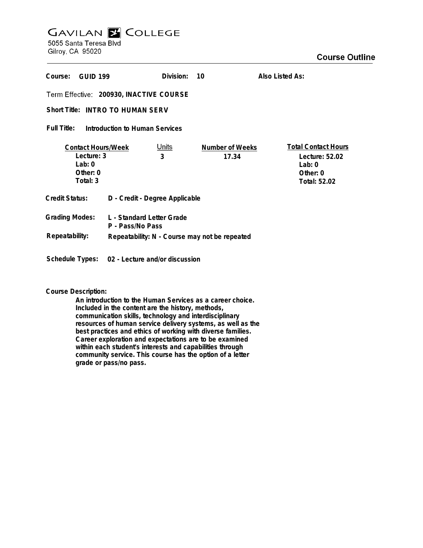# **GAVILAN E COLLEGE** 5055 Santa Teresa Blvd

Gilroy, CA 95020

| Course:                                                                     | <b>GUID 199</b>                | Division:                      | 10                              | Also Listed As:                                                                      |
|-----------------------------------------------------------------------------|--------------------------------|--------------------------------|---------------------------------|--------------------------------------------------------------------------------------|
| Term Effective: 200930, INACTIVE COURSE                                     |                                |                                |                                 |                                                                                      |
| Short Title: INTRO TO HUMAN SERV                                            |                                |                                |                                 |                                                                                      |
| Full Title:<br>Introduction to Human Services                               |                                |                                |                                 |                                                                                      |
| <b>Contact Hours/Week</b><br>Lecture: 3<br>Lab: $0$<br>Other: 0<br>Total: 3 |                                | <b>Units</b><br>3              | <b>Number of Weeks</b><br>17.34 | <b>Total Contact Hours</b><br>Lecture: 52.02<br>Lab: $0$<br>Other: 0<br>Total: 52.02 |
| <b>Credit Status:</b>                                                       |                                | D - Credit - Degree Applicable |                                 |                                                                                      |
| <b>Grading Modes:</b><br>L - Standard Letter Grade<br>P - Pass/No Pass      |                                |                                |                                 |                                                                                      |
| Repeatability:<br>Repeatability: N - Course may not be repeated             |                                |                                |                                 |                                                                                      |
| Schedule Types:                                                             | 02 - Lecture and/or discussion |                                |                                 |                                                                                      |

#### **Course Description:**

**An introduction to the Human Services as a career choice. Included in the content are the history, methods, communication skills, technology and interdisciplinary resources of human service delivery systems, as well as the best practices and ethics of working with diverse families. Career exploration and expectations are to be examined within each student's interests and capabilities through community service. This course has the option of a letter grade or pass/no pass.**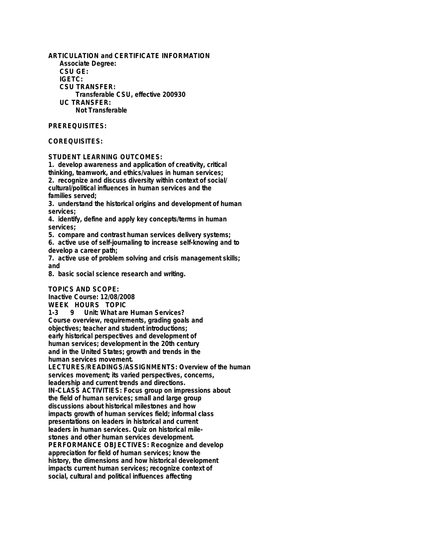**ARTICULATION and CERTIFICATE INFORMATION Associate Degree: CSU GE: IGETC: CSU TRANSFER: Transferable CSU, effective 200930 UC TRANSFER: Not Transferable**

#### **PREREQUISITES:**

### **COREQUISITES:**

#### **STUDENT LEARNING OUTCOMES:**

**1. develop awareness and application of creativity, critical thinking, teamwork, and ethics/values in human services; 2. recognize and discuss diversity within context of social/ cultural/political influences in human services and the families served;**

**3. understand the historical origins and development of human services;**

**4. identify, define and apply key concepts/terms in human services;**

**5. compare and contrast human services delivery systems;**

**6. active use of self-journaling to increase self-knowing and to develop a career path;**

**7. active use of problem solving and crisis management skills; and**

**8. basic social science research and writing.**

#### **TOPICS AND SCOPE:**

**Inactive Course: 12/08/2008 WEEK HOURS TOPIC 1-3 9 Unit: What are Human Services? Course overview, requirements, grading goals and objectives; teacher and student introductions; early historical perspectives and development of human services; development in the 20th century and in the United States; growth and trends in the human services movement. LECTURES/READINGS/ASSIGNMENTS: Overview of the human services movement; its varied perspectives, concerns, leadership and current trends and directions. IN-CLASS ACTIVITIES: Focus group on impressions about the field of human services; small and large group discussions about historical milestones and how impacts growth of human services field; informal class presentations on leaders in historical and current leaders in human services. Quiz on historical milestones and other human services development. PERFORMANCE OBJECTIVES: Recognize and develop appreciation for field of human services; know the history, the dimensions and how historical development impacts current human services; recognize context of social, cultural and political influences affecting**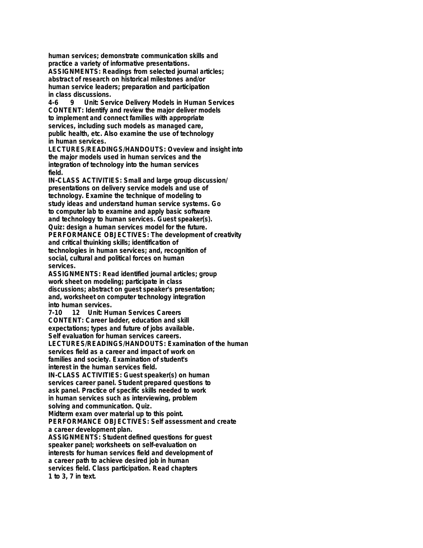**human services; demonstrate communication skills and practice a variety of informative presentations. ASSIGNMENTS: Readings from selected journal articles; abstract of research on historical milestones and/or**

**human service leaders; preparation and participation in class discussions.**

**4-6 9 Unit: Service Delivery Models in Human Services CONTENT: Identify and review the major deliver models to implement and connect families with appropriate services, including such models as managed care, public health, etc. Also examine the use of technology in human services.**

**LECTURES/READINGS/HANDOUTS: Oveview and insight into the major models used in human services and the integration of technology into the human services field.**

**IN-CLASS ACTIVITIES: Small and large group discussion/ presentations on delivery service models and use of technology. Examine the technique of modeling to study ideas and understand human service systems. Go to computer lab to examine and apply basic software and technology to human services. Guest speaker(s). Quiz: design a human services model for the future. PERFORMANCE OBJECTIVES: The development of creativity and critical thuinking skills; identification of technologies in human services; and, recognition of social, cultural and political forces on human services.**

**ASSIGNMENTS: Read identified journal articles; group work sheet on modeling; participate in class discussions; abstract on guest speaker's presentation; and, worksheet on computer technology integration into human services.**

**7-10 12 Unit: Human Services Careers CONTENT: Career ladder, education and skill expectations; types and future of jobs available. Self evaluation for human services careers.**

**LECTURES/READINGS/HANDOUTS: Examination of the human services field as a career and impact of work on families and society. Examination of student's interest in the human services field.**

**IN-CLASS ACTIVITIES: Guest speaker(s) on human services career panel. Student prepared questions to ask panel. Practice of specific skills needed to work in human services such as interviewing, problem solving and communication. Quiz.**

**Midterm exam over material up to this point.**

**PERFORMANCE OBJECTIVES: Self assessment and create a career development plan.**

**ASSIGNMENTS: Student defined questions for guest speaker panel; worksheets on self-evaluation on interests for human services field and development of a career path to achieve desired job in human services field. Class participation. Read chapters 1 to 3, 7 in text.**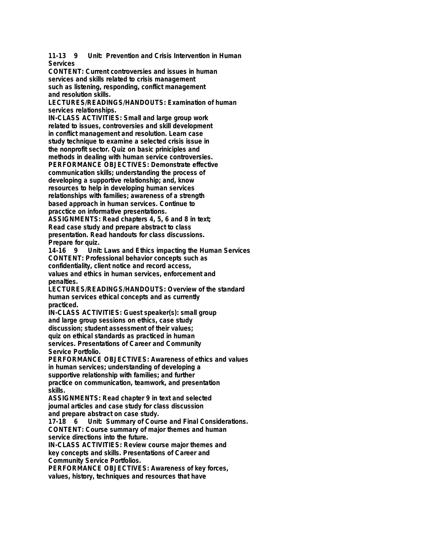**11-13 9 Unit: Prevention and Crisis Intervention in Human Services**

**CONTENT: Current controversies and issues in human services and skills related to crisis management such as listening, responding, conflict management and resolution skills.**

**LECTURES/READINGS/HANDOUTS: Examination of human services relationships.**

**IN-CLASS ACTIVITIES: Small and large group work related to issues, controversies and skill development in conflict management and resolution. Learn case study technique to examine a selected crisis issue in the nonprofit sector. Quiz on basic priniciples and methods in dealing with human service controversies. PERFORMANCE OBJECTIVES: Demonstrate effective communication skills; understanding the process of developing a supportive relationship; and, know resources to help in developing human services relationships with families; awareness of a strength based approach in human services. Continue to pracctice on informative presentations.**

**ASSIGNMENTS: Read chapters 4, 5, 6 and 8 in text; Read case study and prepare abstract to class presentation. Read handouts for class discussions.**

**Prepare for quiz. 14-16 9 Unit: Laws and Ethics impacting the Human Services CONTENT: Professional behavior concepts such as confidentiality, client notice and record access, values and ethics in human services, enforcement and penalties.**

**LECTURES/READINGS/HANDOUTS: Overview of the standard human services ethical concepts and as currently practiced.**

**IN-CLASS ACTIVITIES: Guest speaker(s): small group and large group sessions on ethics, case study discussion; student assessment of their values; quiz on ethical standards as practiced in human services. Presentations of Career and Community Service Portfolio.**

**PERFORMANCE OBJECTIVES: Awareness of ethics and values in human services; understanding of developing a supportive relationship with families; and further practice on communication, teamwork, and presentation skills.**

**ASSIGNMENTS: Read chapter 9 in text and selected journal articles and case study for class discussion and prepare abstract on case study.**

**17-18 6 Unit: Summary of Course and Final Considerations. CONTENT: Course summary of major themes and human service directions into the future.**

**IN-CLASS ACTIVITIES: Review course major themes and key concepts and skills. Presentations of Career and Community Service Portfolios.**

**PERFORMANCE OBJECTIVES: Awareness of key forces, values, history, techniques and resources that have**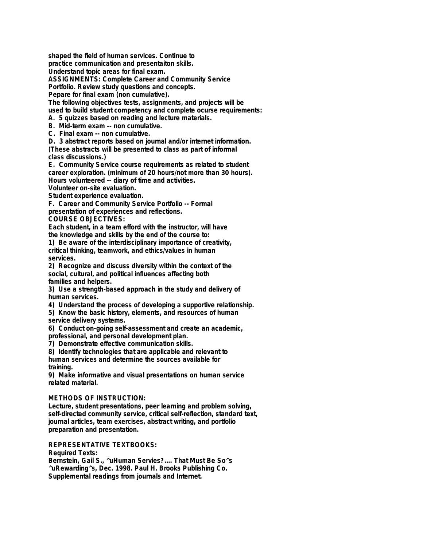**shaped the field of human services. Continue to**

**practice communication and presentaiton skills.**

**Understand topic areas for final exam.**

**ASSIGNMENTS: Complete Career and Community Service**

**Portfolio. Review study questions and concepts.**

**Pepare for final exam (non cumulative).**

**The following objectives tests, assignments, and projects will be used to build student competency and complete ocurse requirements:**

**A. 5 quizzes based on reading and lecture materials.**

**B. Mid-term exam -- non cumulative.**

**C. Final exam -- non cumulative.**

**D. 3 abstract reports based on journal and/or internet information.**

**(These abstracts will be presented to class as part of informal class discussions.)**

**E. Community Service course requirements as related to student career exploration. (minimum of 20 hours/not more than 30 hours). Hours volunteered -- diary of time and activities.**

**Volunteer on-site evaluation.**

**Student experience evaluation.**

**F. Career and Community Service Portfolio -- Formal**

**presentation of experiences and reflections.**

#### **COURSE OBJECTIVES:**

**Each student, in a team efford with the instructor, will have the knowledge and skills by the end of the course to:**

**1) Be aware of the interdisciplinary importance of creativity, critical thinking, teamwork, and ethics/values in human services.**

**2) Recognize and discuss diversity within the context of the social, cultural, and political influences affecting both families and helpers.**

**3) Use a strength-based approach in the study and delivery of human services.**

**4) Understand the process of developing a supportive relationship.**

**5) Know the basic history, elements, and resources of human service delivery systems.**

**6) Conduct on-going self-assessment and create an academic, professional, and personal development plan.**

**7) Demonstrate effective communication skills.**

**8) Identify technologies that are applicable and relevant to human services and determine the sources available for training.**

**9) Make informative and visual presentations on human service related material.**

#### **METHODS OF INSTRUCTION:**

**Lecture, student presentations, peer learning and problem solving, self-directed community service, critical self-reflection, standard text, journal articles, team exercises, abstract writing, and portfolio preparation and presentation.**

## **REPRESENTATIVE TEXTBOOKS:**

#### **Required Texts:**

**Bernstein, Gail S., ^uHuman Servies?.... That Must Be So^s ^uRewarding^s, Dec. 1998. Paul H. Brooks Publishing Co. Supplemental readings from journals and Internet.**